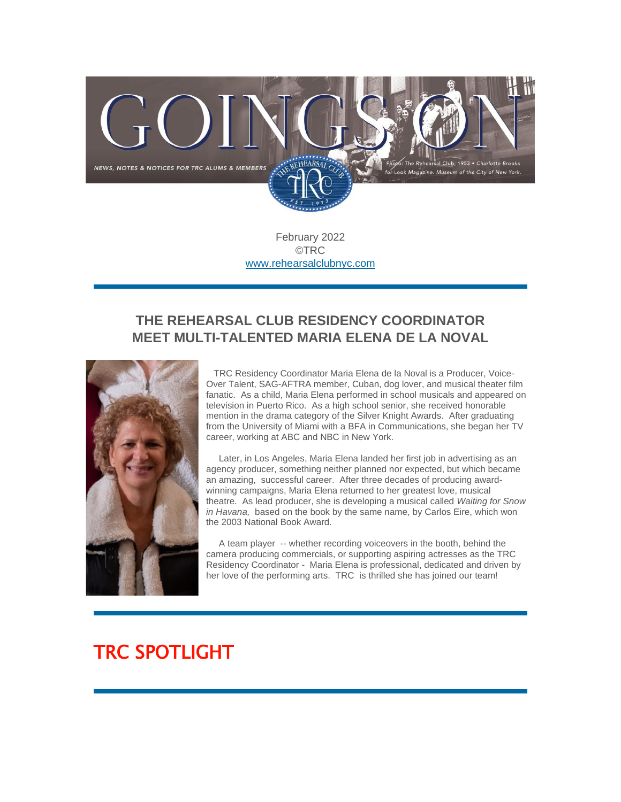

February 2022 ©TRC [www.rehearsalclubnyc.com](http://em.networkforgood.com/ls/click?upn=d9K6ASy0zzX96vUyeY2s4NbX7GC-2B-2BQrvMkId8Tobla-2FvkTqIGb6BP464szxIK4hEhzyX_mVgFLr7YN-2FKDVqGhILtkQY9fXF2OyRftV4uiTXV7NCFmx397hqVIaghoWdDojcNgWFOUDTyZNK6tpJ9qs1O-2BC2T0iZkSw3YcsEMNgHaI6GHvvOMq52zzynK1oL97mCWyg1KUFEcz-2FDG8c688t7tBcoSsv7fc4TEv-2BxtNKl9pQ0hFJ7OxHEZGq3VR9aiwwfKnjqkR3BDvbFccudTTmzkRPGl5jt185W9CPSQ-2FUcZKtInGp9-2B6ydOVNdMzORVR0KvM9R53UxtxDMTX3-2FC7FDlGXMsdMPIPTJaCNesZD-2B3qO8cPgBoZJW8DLC8JgMSh-2F6ji4JnqHMsq0q9lIEq8YHnxd0pypno1VzAFRkD3WzDUaS0-3D)

### **THE REHEARSAL CLUB RESIDENCY COORDINATOR MEET MULTI-TALENTED MARIA ELENA DE LA NOVAL**



TRC Residency Coordinator Maria Elena de la Noval is a Producer, Voice-Over Talent, SAG-AFTRA member, Cuban, dog lover, and musical theater film fanatic. As a child, Maria Elena performed in school musicals and appeared on television in Puerto Rico. As a high school senior, she received honorable mention in the drama category of the Silver Knight Awards. After graduating from the University of Miami with a BFA in Communications, she began her TV career, working at ABC and NBC in New York.

Later, in Los Angeles, Maria Elena landed her first job in advertising as an agency producer, something neither planned nor expected, but which became an amazing, successful career. After three decades of producing awardwinning campaigns, Maria Elena returned to her greatest love, musical theatre. As lead producer, she is developing a musical called *Waiting for Snow in Havana,* based on the book by the same name, by Carlos Eire, which won the 2003 National Book Award.

A team player -- whether recording voiceovers in the booth, behind the camera producing commercials, or supporting aspiring actresses as the TRC Residency Coordinator - Maria Elena is professional, dedicated and driven by her love of the performing arts. TRC is thrilled she has joined our team!

# TRC SPOTLIGHT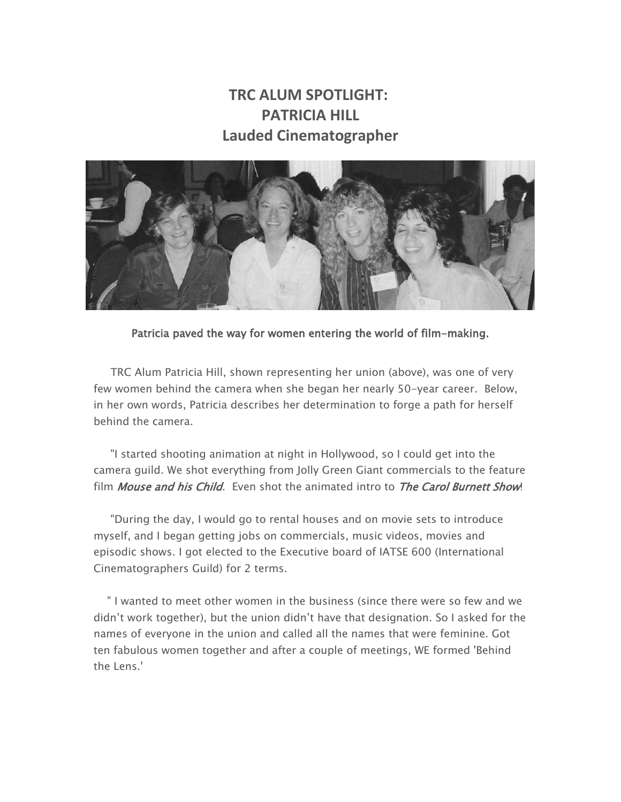### **TRC ALUM SPOTLIGHT: PATRICIA HILL Lauded Cinematographer**



Patricia paved the way for women entering the world of film-making.

TRC Alum Patricia Hill, shown representing her union (above), was one of very few women behind the camera when she began her nearly 50-year career. Below, in her own words, Patricia describes her determination to forge a path for herself behind the camera.

"I started shooting animation at night in Hollywood, so I could get into the camera guild. We shot everything from Jolly Green Giant commercials to the feature film *Mouse and his Child*. Even shot the animated intro to *The Carol Burnett Show*!

"During the day, I would go to rental houses and on movie sets to introduce myself, and I began getting jobs on commercials, music videos, movies and episodic shows. I got elected to the Executive board of IATSE 600 (International Cinematographers Guild) for 2 terms.

" I wanted to meet other women in the business (since there were so few and we didn't work together), but the union didn't have that designation. So I asked for the names of everyone in the union and called all the names that were feminine. Got ten fabulous women together and after a couple of meetings, WE formed 'Behind the Lens.'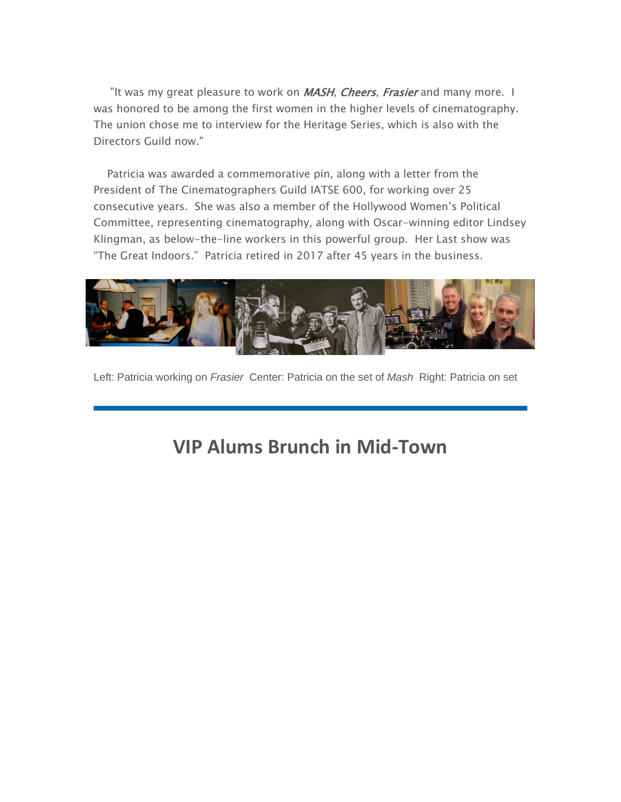"It was my great pleasure to work on MASH, Cheers, Frasier and many more. I was honored to be among the first women in the higher levels of cinematography. The union chose me to interview for the Heritage Series, which is also with the Directors Guild now."

Patricia was awarded a commemorative pin, along with a letter from the President of The Cinematographers Guild IATSE 600, for working over 25 consecutive years. She was also a member of the Hollywood Women's Political Committee, representing cinematography, along with Oscar-winning editor Lindsey Klingman, as below-the-line workers in this powerful group. Her Last show was "The Great Indoors." Patricia retired in 2017 after 45 years in the business.



Left: Patricia working on *Frasier* Center: Patricia on the set of *Mash* Right: Patricia on set

## **VIP Alums Brunch in Mid-Town**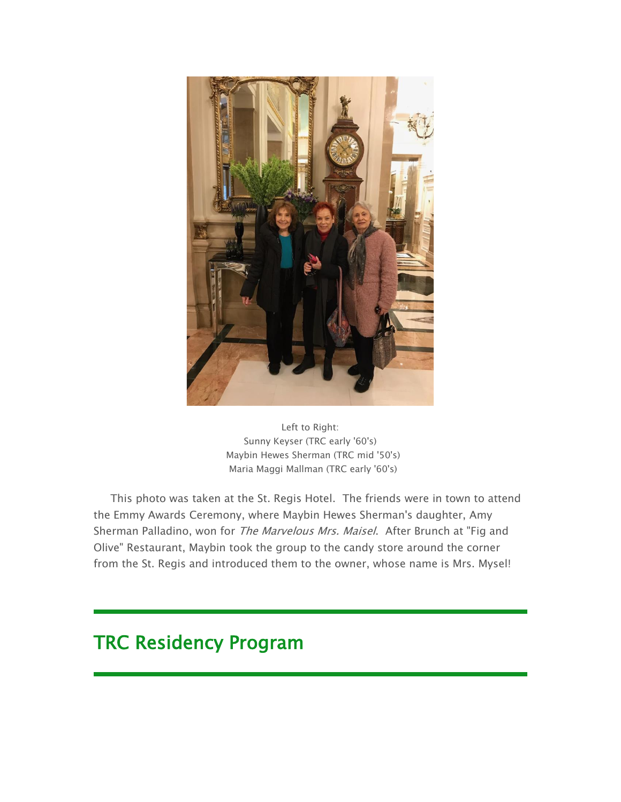

Left to Right: Sunny Keyser (TRC early '60's) Maybin Hewes Sherman (TRC mid '50's) Maria Maggi Mallman (TRC early '60's)

This photo was taken at the St. Regis Hotel. The friends were in town to attend the Emmy Awards Ceremony, where Maybin Hewes Sherman's daughter, Amy Sherman Palladino, won for The Marvelous Mrs. Maisel. After Brunch at "Fig and Olive" Restaurant, Maybin took the group to the candy store around the corner from the St. Regis and introduced them to the owner, whose name is Mrs. Mysel!

## TRC Residency Program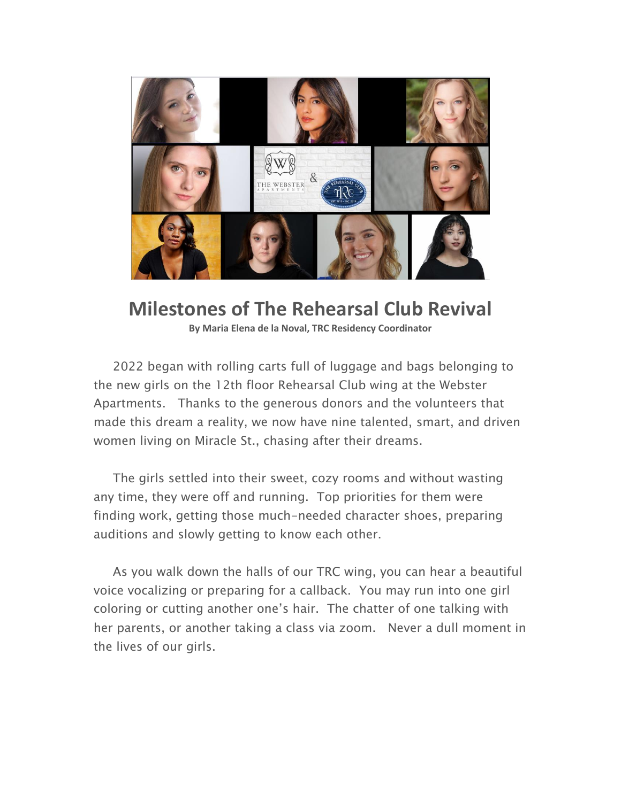

## **Milestones of The Rehearsal Club Revival**

**By Maria Elena de la Noval, TRC Residency Coordinator**

2022 began with rolling carts full of luggage and bags belonging to the new girls on the 12th floor Rehearsal Club wing at the Webster Apartments. Thanks to the generous donors and the volunteers that made this dream a reality, we now have nine talented, smart, and driven women living on Miracle St., chasing after their dreams.

The girls settled into their sweet, cozy rooms and without wasting any time, they were off and running. Top priorities for them were finding work, getting those much-needed character shoes, preparing auditions and slowly getting to know each other.

As you walk down the halls of our TRC wing, you can hear a beautiful voice vocalizing or preparing for a callback. You may run into one girl coloring or cutting another one's hair. The chatter of one talking with her parents, or another taking a class via zoom. Never a dull moment in the lives of our girls.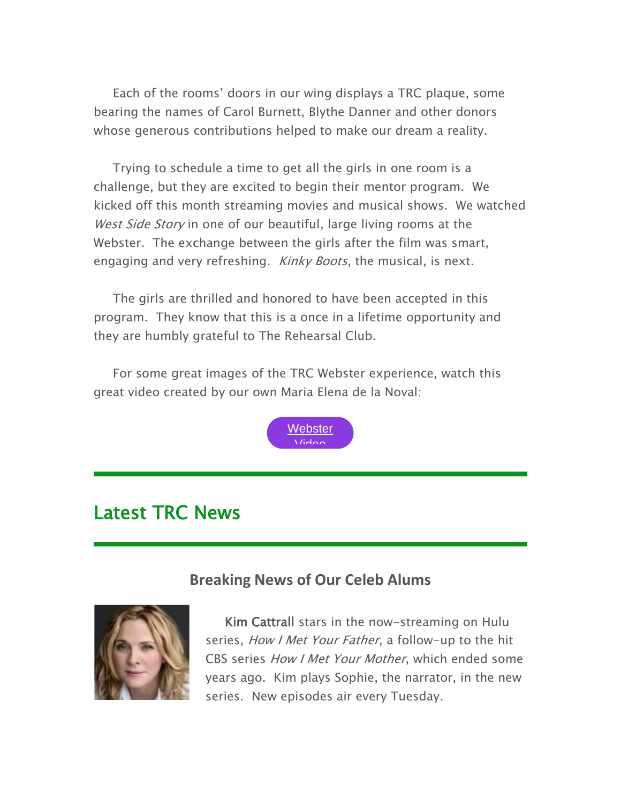Each of the rooms' doors in our wing displays a TRC plaque, some bearing the names of Carol Burnett, Blythe Danner and other donors whose generous contributions helped to make our dream a reality.

Trying to schedule a time to get all the girls in one room is a challenge, but they are excited to begin their mentor program. We kicked off this month streaming movies and musical shows. We watched West Side Story in one of our beautiful, large living rooms at the Webster. The exchange between the girls after the film was smart, engaging and very refreshing. *Kinky Boots*, the musical, is next.

The girls are thrilled and honored to have been accepted in this program. They know that this is a once in a lifetime opportunity and they are humbly grateful to The Rehearsal Club.

For some great images of the TRC Webster experience, watch this great video created by our own Maria Elena de la Noval:



## Latest TRC News

### **Breaking News of Our Celeb Alums**



Kim Cattrall stars in the now-streaming on Hulu series, *How I Met Your Father*, a follow-up to the hit CBS series How I Met Your Mother, which ended some years ago. Kim plays Sophie, the narrator, in the new series. New episodes air every Tuesday.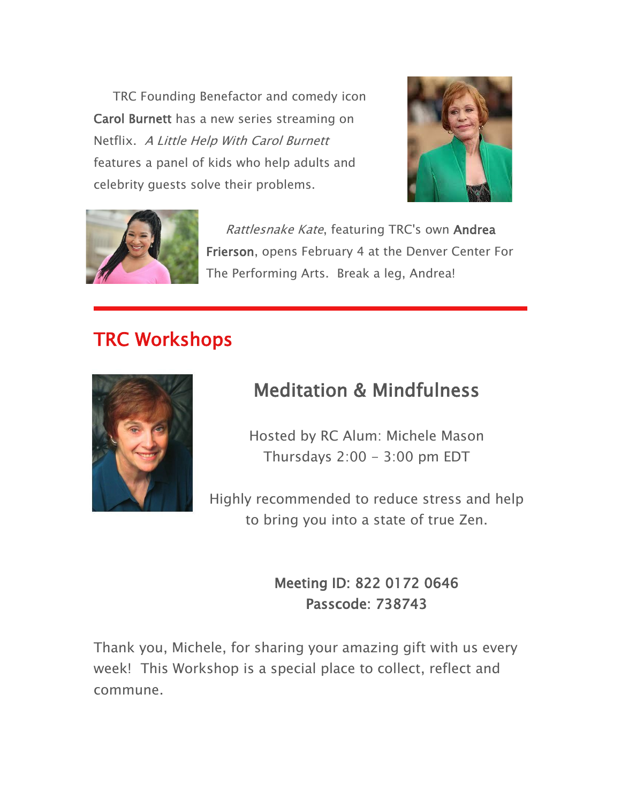TRC Founding Benefactor and comedy icon Carol Burnett has a new series streaming on Netflix. A Little Help With Carol Burnett features a panel of kids who help adults and celebrity guests solve their problems.





Rattlesnake Kate, featuring TRC's own Andrea Frierson, opens February 4 at the Denver Center For The Performing Arts. Break a leg, Andrea!

# TRC Workshops



# Meditation & Mindfulness

Hosted by RC Alum: Michele Mason Thursdays  $2:00 - 3:00$  pm EDT

Highly recommended to reduce stress and help to bring you into a state of true Zen.

> Meeting ID: 822 0172 0646 Passcode: 738743

Thank you, Michele, for sharing your amazing gift with us every week! This Workshop is a special place to collect, reflect and commune.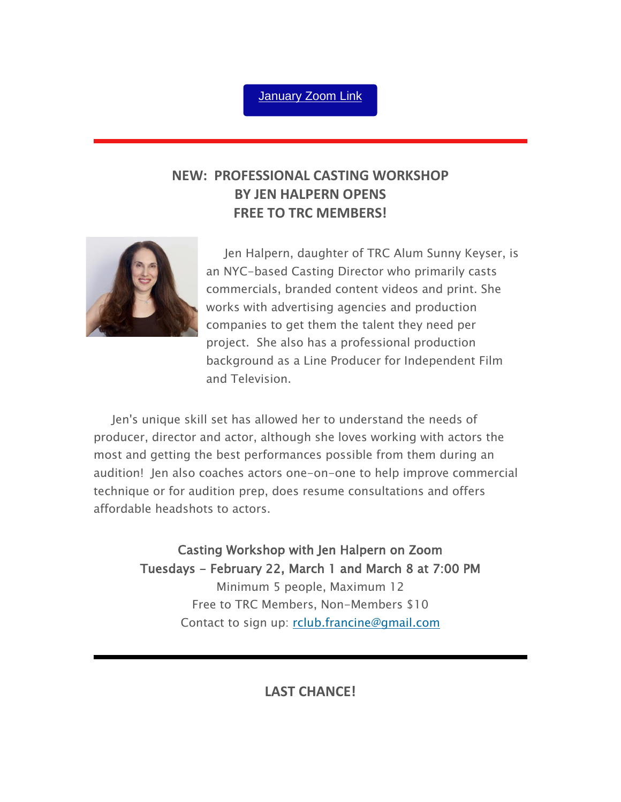#### [January](https://us02web.zoom.us/j/82201720646?pwd=Wkk2MTU4U1Y5SkJjMSs0QlBSczB2UT09) Zoom Link

### **NEW: PROFESSIONAL CASTING WORKSHOP BY JEN HALPERN OPENS FREE TO TRC MEMBERS!**



Jen Halpern, daughter of TRC Alum Sunny Keyser, is an NYC-based Casting Director who primarily casts commercials, branded content videos and print. She works with advertising agencies and production companies to get them the talent they need per project. She also has a professional production background as a Line Producer for Independent Film and Television.

Jen's unique skill set has allowed her to understand the needs of producer, director and actor, although she loves working with actors the most and getting the best performances possible from them during an audition! Jen also coaches actors one-on-one to help improve commercial technique or for audition prep, does resume consultations and offers affordable headshots to actors.

> Casting Workshop with Jen Halpern on Zoom Tuesdays - February 22, March 1 and March 8 at 7:00 PM Minimum 5 people, Maximum 12 Free to TRC Members, Non-Members \$10 Contact to sign up: [rclub.francine@gmail.com](mailto:rclub.francine@gmail.com)

> > **LAST CHANCE!**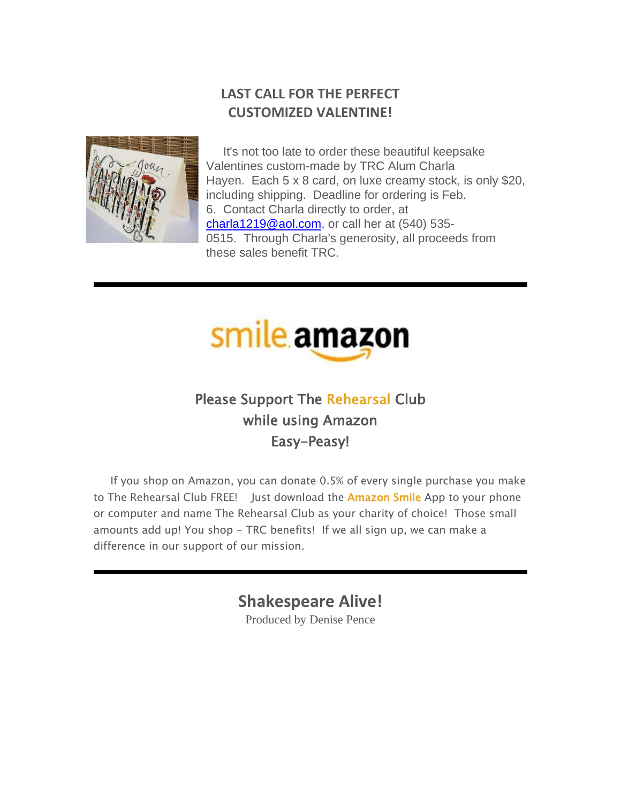### **LAST CALL FOR THE PERFECT CUSTOMIZED VALENTINE!**



It's not too late to order these beautiful keepsake Valentines custom-made by TRC Alum Charla Hayen. Each 5 x 8 card, on luxe creamy stock, is only \$20, including shipping. Deadline for ordering is Feb. 6. Contact Charla directly to order, at [charla1219@aol.com,](mailto:charla1219@aol.com) or call her at (540) 535- 0515. Through Charla's generosity, all proceeds from these sales benefit TRC.



### Please Support The Rehearsal Club while using Amazon Easy-Peasy!

If you shop on Amazon, you can donate 0.5% of every single purchase you make to The Rehearsal Club FREE! Just download the **Amazon Smile** App to your phone or computer and name The Rehearsal Club as your charity of choice! Those small amounts add up! You shop - TRC benefits! If we all sign up, we can make a difference in our support of our mission.

**Shakespeare Alive!**

Produced by Denise Pence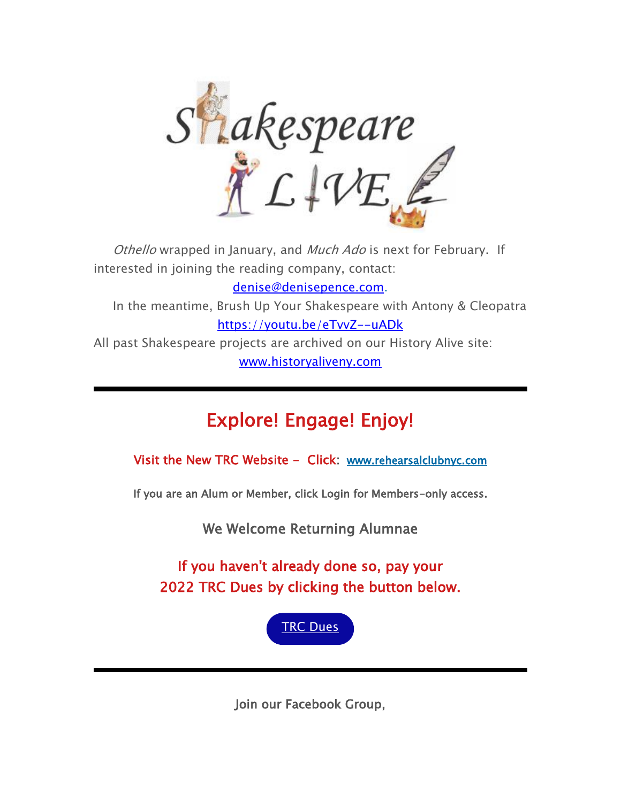

Othello wrapped in January, and Much Ado is next for February. If interested in joining the reading company, contact: [denise@denisepence.com.](mailto:denise@denisepence.com) In the meantime, Brush Up Your Shakespeare with Antony & Cleopatra <https://youtu.be/eTvvZ--uADk> All past Shakespeare projects are archived on our History Alive site: [www.historyaliveny.com](http://www.historyaliveny.com/)

# Explore! Engage! Enjoy!

Visit the New TRC Website - Click: [www.rehearsalclubnyc.com](http://em.networkforgood.com/ls/click?upn=d9K6ASy0zzX96vUyeY2s4NbX7GC-2B-2BQrvMkId8Tobla-2FvkTqIGb6BP464szxIK4hE83-P_mVgFLr7YN-2FKDVqGhILtkQY9fXF2OyRftV4uiTXV7NCFmx397hqVIaghoWdDojcNgWFOUDTyZNK6tpJ9qs1O-2BC2T0iZkSw3YcsEMNgHaI6GHvvOMq52zzynK1oL97mCWyg1KUFEcz-2FDG8c688t7tBcoSsv7fc4TEv-2BxtNKl9pQ0hA-2FXe-2FGmQJuQmuZF3lieO5n6IUadJRwYPG8pulJrGqS4ApBT3DLdqIxw6tqQbCaBU-2FpVhHz-2BPRWSv9IhNJxCye7aFSNY1yFSmn6FELd06DSPMISqc291ZbOKvBkFArO8-2F5BOUPfMqdMHytX60l5Y3n-2BmxO3OM4gKv2-2FbC9ih7kTmPBrZ-2FgQzLOnlgSA8O6-2B4E-3D)

If you are an Alum or Member, click Login for Members-only access.

We Welcome Returning Alumnae

If you haven't already done so, pay your 2022 TRC Dues by clicking the button below.



Join our Facebook Group,